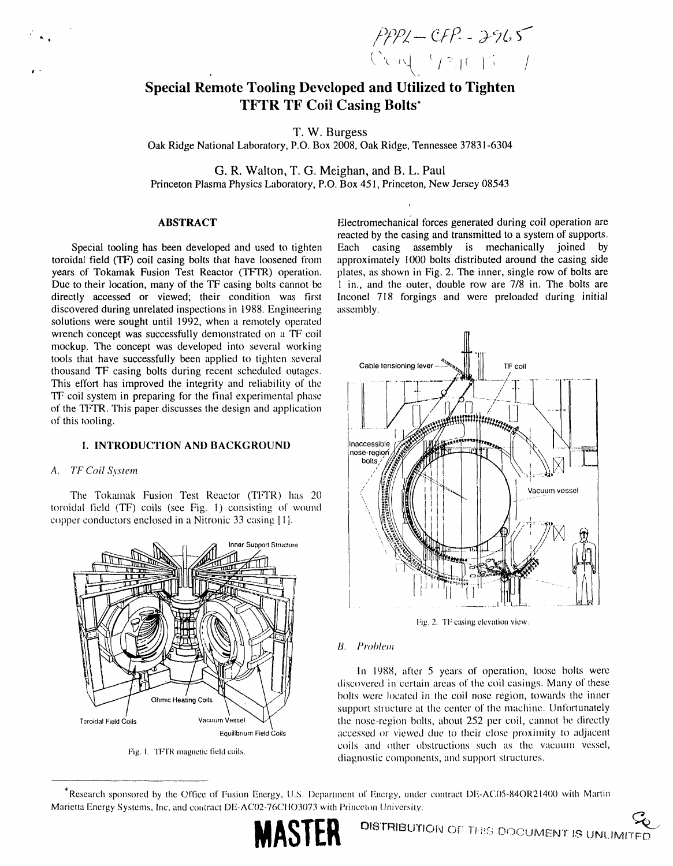$PPZ - CFP - 3965$ <br>Con  $(92)(15 - 1)$ 

# **Special Remote Tooling Developed and Utilized to Tighten TFTR TF Coil Casing Bolts\***

T. W. Burgess

Oak Ridge National Laboratory, P.O. Box 2008, Oak Ridge, Tennessee 37831-6304

G. R. Walton, T. G. Meighan, and B. L. Paul Princeton Plasma Physics Laboratory, P.O. Box 451, Princeton, New Jersey 08543

# **ABSTRACT**

Special tooling has been developed and used to tighten toroidal field (TF) coil casing bolts that have loosened from years of Tokamak Fusion Test Reactor (TFTR) operation. Due to their location, many of the TF casing bolts cannot be directly accessed or viewed; their condition was first discovered during unrelated inspections in 1988. Engineering solutions were sought until 1992, when a remotely operated wrench concept was successfully demonstrated on a TF coil mockup. The concept was developed into several working tools that have successfully been applied to tighten several thousand TF casing bolts during recent scheduled outages. This effort has improved the integrity and reliability of the TF coil system in preparing for the final experimental phase of the TFTR. This paper discusses the design and application of this tooling.

### **I. INTRODUCTION AND BACKGROUND**

### A. TF Coil System

The Tokamak Fusion Test Reactor (TFTR) has 20 toroidal field (TF) coils (see Fig. 1) consisting of wound copper conductors enclosed in a Nitronic 33 casing [1].



Fig. 1. TFTR magnetic field coils.

Electromechanical forces generated during coil operation are reacted by the casing and transmitted to a system of supports. Each casing assembly is mechanically joined by approximately 1000 bolts distributed around the casing side plates, as shown in Fig. 2. The inner, single row of bolts are 1 in., and the outer, double row are 7/8 in. The bolts are Inconel 718 forgings and were preloaded during initial assembly.



Fig. 2. TF casing elevation view.

#### **B.** Problem

In 1988, after 5 years of operation, loose bolts were discovered in certain areas of the coil casings. Many of these bolts were located in the coil nose region, towards the inner support structure at the center of the machine. Unfortunately the nose-region bolts, about 252 per coil, cannot be directly accessed or viewed due to their close proximity to adjacent coils and other obstructions such as the vacuum vessel, diagnostic components, and support structures.

<sup>\*</sup>Research sponsored by the Office of Fusion Energy, U.S. Department of Energy, under contract DE-AC05-84OR21400 with Martin Marietta Energy Systems, Inc, and contract DE-AC02-76CHO3073 with Princeton University.

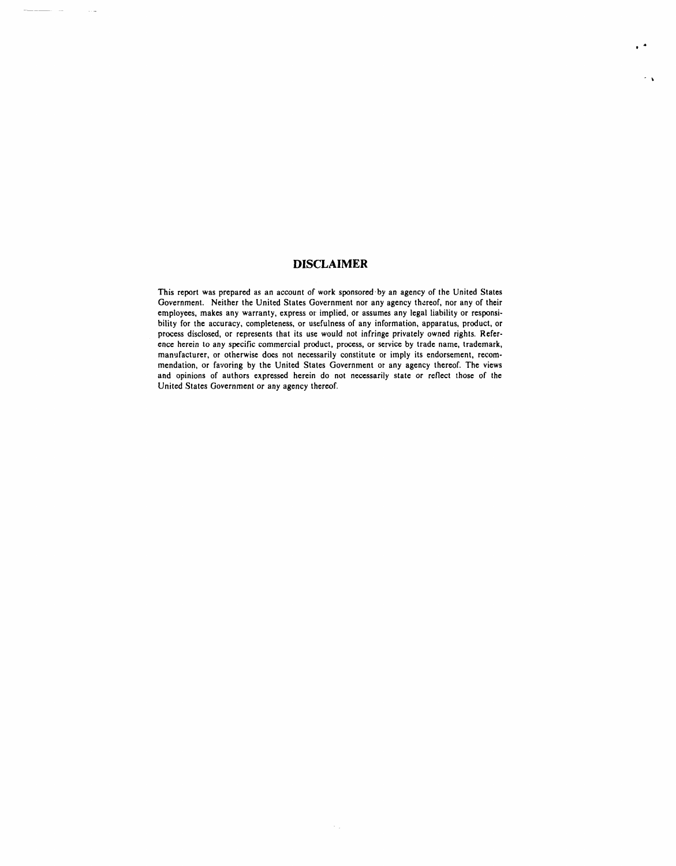## **DISCLAIMER**

 $\sim$ 

I

 $\Delta$ 

This report was prepared as an account of work sponsored by an agency of the United States Government. Neither the United States Government nor any agency thereof, nor any of their employees, makes any warranty, express or implied, or assumes any legal liability or responsi**bility for t**he **accuracy**, **compl**e**t**e**n**e**ss**, **or us**e**fuln**e**ss of any information, apparatus**, **product, or** process disclosed, or represents that its use would not infringe privately owned rights. Reference h**e**rei**n** to a*n*y **s**pecific commercial **p**roduct, pro**c**ess, or service by tra**d**e name**,** t**r**a**d**emar**k**, manufacturer, or otherwise does not necessarily constitu**t**e or imply its endorsement, recommendation, or favoring by the United States Government or any a**g**ency thereof. *T*he views and opinions of au**t**hors expressed herein do not necessarily state or reflect tho*s*e of the United States Go*v*ernme**n**t or **a**n**y ag**enc**y** the**r**eof.

 $\langle \cdot \rangle_{\rm{in}}$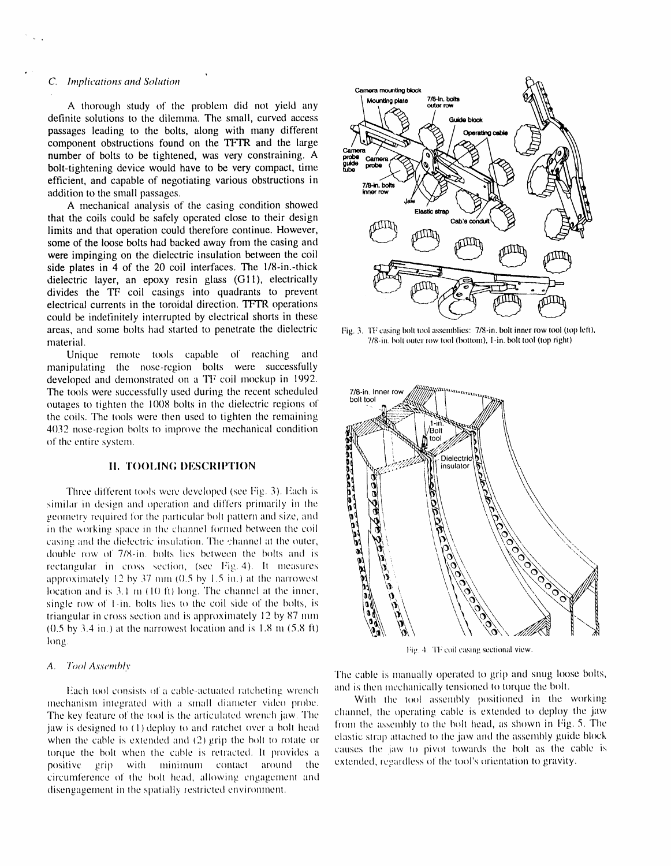### *C*. *Implications and Solution* \_\

A thorough study of the problem did not yield any  $\overrightarrow{a}$  .  $\overrightarrow{a}$ passages leading to the bolts, along with many different  $\bigotimes_{n=1}^{\infty} \bigotimes_{n=1}^{\infty}$  operating cable  $\bigcap_{n=1}^{\infty}$ bolt-tightening device would have to be very compact, time number of bolts to be tightened, was very constraining. A addition to the small passages.  $\mathbb{Z}$ efficient, and capable of negotiating various obstructions in

A mechanical analysis of the casing condition showed that the coils could be safely operated close to their design limits and that operation could therefore continue. However, some of the loose bolts had backed away from the casing and  $\left\{\begin{array}{c} \text{dim}\mathfrak{P} \\ \text{dim}\mathfrak{P} \end{array}\right\}$ some of the loose bolts had backed away from the casing and were impinging on the dielectric insulation between the coil side plates in 4 of the 20 coil interfaces. The  $1/8$ -in.-thick could be indefinitely interrupted by electrical shorts in these  $\sim$ dielectric layer, an epoxy resin glass (G11), electrically divides the TF coil casings into quadrants to prevent electrical currents in the toroidal direction. TFTR operations areas, and some bolts had started to penetrate the dielectric Fig. 3. TF casing bolt tool assemblies: 7/8-in. bolt inner row tool (top left),<br>
7/8-in. bolt outer row tool (bottom), I-in. bolt tool (top right)

Unique remote tools capable of reaching and manipulating the nose-region bolts were successfully developed and demonstrated on a TF coil mockup in 1992. The tools were successfully used during the recent scheduled 7/8-in, Inner row outages to tighten the 1008 bolts in the dielectric regions of the coils. The tools were then used to tighten the remaining 4032 nose-region bolts to improve the mechanical condition ¢**)**1the entire system.

### **II. TOOLING DESCRIPTION**

Three different tools were developed (see Fig. 3). Each is similar in design and operation and differs primarily in the of the entire system.<br> **II. TOOLING DESCRIPTION**<br>
Three different tools were developed (see Fig. 3). Each is<br>
similar in design and operation and differs primarily in the<br>
geometry required for the particular bolt pattern in the working space in the channel formed between the coil  $\begin{bmatrix} a_1 \\ b_2 \end{bmatrix}$   $\begin{bmatrix} a_1 \\ b_2 \end{bmatrix}$   $\begin{bmatrix} a_2 \\ b_3 \end{bmatrix}$   $\begin{bmatrix} a_1 \\ b_2 \end{bmatrix}$   $\begin{bmatrix} a_2 \\ b_3 \end{bmatrix}$ casing and the dielectric insulation. The *channel at the outer*,<br>double row of 7/8-in. bolts lies between the bolts and is<br> $\begin{pmatrix} 0 \\ 0 \\ 0 \\ 0 \end{pmatrix}$  and  $\begin{pmatrix} 0 \\ 0 \\ 0 \\ 0 \end{pmatrix}$ tioning for  $\alpha$  in order that the heat and is  $\alpha$   $\beta$   $\beta$   $\gamma$   $\beta$   $\gamma$   $\gamma$ rect:tr\_ul:tr in eros\_ \_cctit\_n, (see l*:*ig. 4). It n\_*e*asurcs *'* \ approximately 12 by 37 mm ( $0.5$  by 1.5 in.) at the narrowest Iocation and is 3.1 m (10 ft) long. The channel at the inner, single row of  $\uparrow$ -in. bolts lies to the coil side of the bolts, is triangular in cross section and is approximately 12 by 87 mm  $(0.5 \text{ by } 3.4 \text{ in.})$  at the narrowest location and is  $1.8 \text{ m } (5.8 \text{ ft})$ hong.

#### A. Tool Assembly

Each tool consists of a cable-actuated ratcheting wrench and is then mechanically tensioned to torque the ool.<br>hanism integrated with a small diameter video probe **With** the tool assembly positioned in the working mechanism integrated with a small diameter video probe. With the tool assembly positioned in the working<br>The key feature of the tool is the articulated wrench iaw. The channel, the operating cable is extended to deploy the The key feature of the tool is the articulated wrench jaw. The channel, the operating cable is extended to deploy the jaw<br>jaw is designed to (1) deploy to and ratchet over a bolt head from the assembly to the bolt head, as when the cable is extended and (2) grip the bolt to rotate or elastic strap attached to the jaw and the assembly guide block<br>torque the bolt when the cable is retracted. It provides a causes the jaw to pivot towards the b torque the bolt when the cable is retracted. It provides a causes the jaw to pivot towards the bolt as the capa-<br>**positive** aring with minimum contact around the **extended**, regardless of the tool's orientation to gravity.  $\frac{1}{\pi}$ positive grip with minimum contact around the circumference of the bolt head, allowing engagement and disengagement in the spatially restricted environment.



material. 7*/*8-in.I\_**)**ltou**t**errow**t**o¢**)**(t\_l **)tt**om),I-in.bolt**t**ool(**t**opright)



I*:*i\_\_**,***..*TFi coil*c*:t'.;ing s*e*ctionalview.

The cable is manually operated to grip and snug loose bolts, and is then mechanically tensioned to torque the bolt.

elastic strap attached to the jaw and the assembly guide block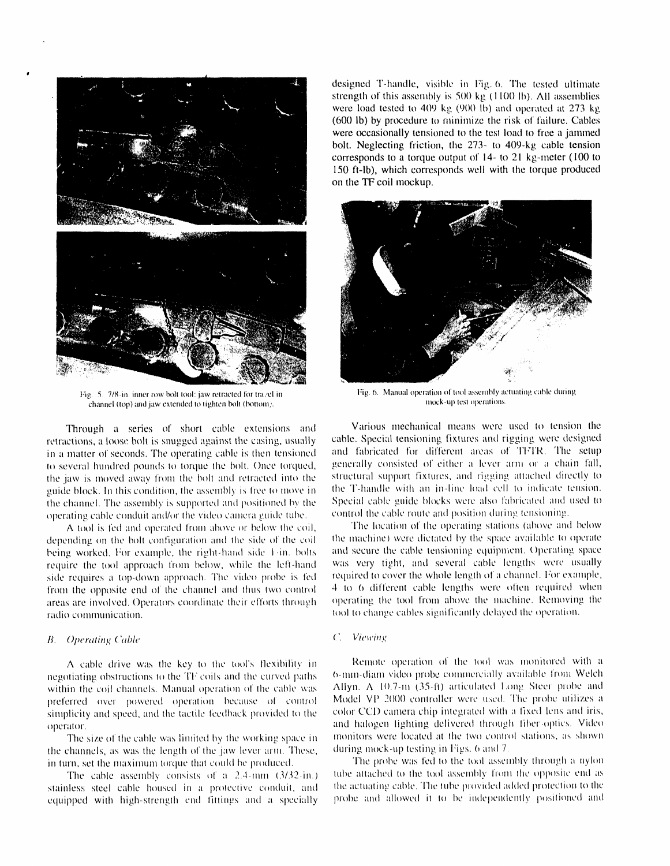

Fig. 5. 7/8-in, inner row bolt tool: jaw retracted for travel in channel (top) and jaw extended to tighten bolt (bottom).

Through a series of short cable extensions and retractions, a loose bolt is snugged against the casing, usually in a matter of seconds. The operating cable is then tensioned to several hundred pounds to torque the bolt. Once torqued, the jaw is moved away from the bolt and retracted into the guide block. In this condition, the assembly is free to move in the channel. The assembly is supported and positioned by the operating cable conduit and/or the video camera guide tube.

A tool is fed and operated from above or below the coil, depending on the bolt configuration and the side of the coil being worked. For example, the right-hand side 1-in. bolts require the tool approach from below, while the left-hand side requires a top-down approach. The video probe is fed from the opposite end of the channel and thus two control areas are involved. Operators coordinate their efforts through radio communication.

### **B.** Operating Cable

A cable drive was the key to the tool's flexibility in negotiating obstructions to the TF coils and the curved paths within the coil channels. Manual operation of the cable was preferred over powered operation because of control simplicity and speed, and the tactile feedback provided to the operator.

The size of the cable was limited by the working space in the channels, as was the length of the jaw lever arm. These, in turn, set the maximum torque that could be produced.

The cable assembly consists of a  $2.4$ -mm  $(3/32$ -in.) stainless steel cable housed in a protective conduit, and equipped with high-strength end fittings and a specially

designed T-handle, visible in Fig. 6. The tested ultimate strength of this assembly is 500 kg (1100 lb). All assemblies were load tested to 409 kg (900 lb) and operated at 273 kg (600 lb) by procedure to minimize the risk of failure. Cables were occasionally tensioned to the test load to free a jammed bolt. Neglecting friction, the 273- to 409-kg cable tension corresponds to a torque output of 14- to 21 kg-meter (100 to 150 ft-lb), which corresponds well with the torque produced on the TF coil mockup.



Fig. 6. Manual operation of tool assembly actuating cable during mock-up test operations.

Various mechanical means were used to tension the cable. Special tensioning fixtures and rigging were designed and fabricated for different areas of TFTR. The setup generally consisted of either a lever arm or a chain fall, structural support fixtures, and rigging attached directly to the T-handle with an in-line load cell to indicate tension. Special cable guide blocks were also fabricated and used to control the cable route and position during tensioning.

The location of the operating stations (above and below the machine) were dictated by the space available to operate and secure the cable tensioning equipment. Operating space was very tight, and several cable lengths were usually required to cover the whole length of a channel. For example, 4 to 6 different cable lengths were often required when operating the tool from above the machine. Removing the tool to change cables significantly delayed the operation.

#### C. Viewing

Remote operation of the tool was monitored with a 6-mm-diam video probe commercially available from Welch Allyn. A 10.7-m (35-ft) articulated Long Steer probe and Model VP 2000 controller were used. The probe utilizes a color CCD camera chip integrated with a fixed lens and iris, and halogen lighting delivered through fiber-optics. Video monitors were located at the two control stations, as shown during mock-up testing in Figs. 6 and 7.

The probe was fed to the tool assembly through a nylon tube attached to the tool assembly from the opposite end as the actuating cable. The tube provided added protection to the probe and allowed it to be independently positioned and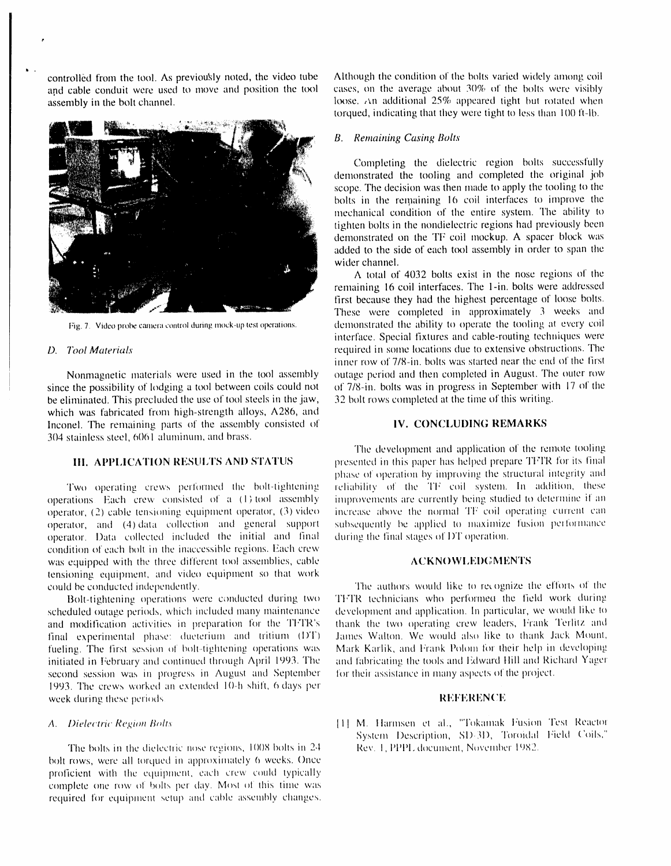controlled from the tool. As previously noted, the video tube Although the condition of the bolts varied widely among coil<br>and cable conduit were used to move and position the tool cases, on the average about 30% of the bo and cable conduit were used to move and position the tool assembly in the bolt channel.



Ib .

since the possibility of lodging a tool between coils could not of 7/8-in. bolts was in progress in September wit<br>be eliminated. This precluded the use of tool steels in the jaw, 32 bolt rows completed at the time of this be eliminated. This precluded the use of tool steels in the jaw, which was fabricated from high-strength alloys, A286, and Inconel. The remaining parts of tile assembly consisted \_t **I**V. C()N**C**q\_Ui)**I**NG **R**EMAR**K**S 304 stainless steel, *(*3**()**6**1** aluminum, and brass.

operations. Each crew consisted of a (1) tool assembly improvements are currently being studied to determine if an<br>operator, (2) cable tensioning equipment operator, (3) video increase above the normal TF coil operating cu operator, (2) cable tensioning equipment operator, (3) video increase above the normal TF coil operating current can<br>operator, and (4) data collection and general support subsequently be applied to maximize fusion performa operator, and (4) data collection and general support subsequently be applied to maximize operator. Data collected included the initial and final during the final stages of DT operation. operator. Data collected included the initial and final condition of each bolt in the inaccessible regions. Each crew was equipped with the three different tool assemblies, cable  $\overline{ACKNOWLEDGMENTS}$ tensioning equipment, and video equipment so that work could be conducted independently.

scheduled outage periods, which included many maintenance and modification activities in preparation for the TFTR's final experimental phase: dueterium and tritium (DT) James Walton. We would also like to thank Jack Mount, fueling. The first session of bolt-tightening operations was Mark Karlik, and Frank Polom for their help in develop fueling. The first session of bolt-tightening operations was Mark Karlik, and Frank Polom for their help in developing<br>initiated in February and continued through April 1993. The and fabricating the tools and Edward Hill a initiated in February and continued through April 1993. The *interpretational the tools and Edward Hill and Richause*<br>second session was in progress in August and September for their assistance in many aspects of the proje second session was in progress in August and September 1993. The crews worked an extended 10-h shift, 6 days per week during these periods. The **interval of the interval of the interval of the interval of the interval of the interval of the interval of the interval of the interval of the interval of the interval of the interval of th** 

The bolts in the dielectric nose regions, 1008 bolts in 24 bolt rows, were all torqued in approximately 6 weeks. Once proficient with the equipment, each crew could typically complete one row of bolts per day. Most of this time was required for equipment setup and cable assembly changes.

loose. *An* additional 25% appeared tight but rotated when torqued, indicating that they were tight to less than 100 ft-lb.

### *B*. *Remaining Casing Bolts*

Completing the dielectric region bolts successfully demonstrated the tooling and completed the original job scope. The decision was then made to apply the tooling to the bolts in the remaining 16 coil interfaces to improve the mechanical condition of the entire system. The ability to tighten bolts in the nondiele*c*tric regions had previously been demonstrated on the TF coil mockup. A spacer block was added to the side of each tool assembly in order to span the wider channel.

A total of  $4032$  bolts exist in the nose regions of the remaining 16 coil interfaces. The l-in. bolts were addressed first because they had the highest percentage of loose bolts. These were completed in approximately 3 weeks and Fig. 7. Video probe camera control during mock-up test operations. demonstrated the ability to operate the tooling at every coil interface. Special fixtures and cable-routing techniques were *D. Tool Materials* **required in some locations due to extensive obstructions. The** inner row of 7/8-in. bolts was started near the end of the first Nonmagnetic materials were used in the tool assembly outage period and then completed in August. The outer row<br>e the possibility of lodging a tool between coils could not of 7/8-in, bolts was in progress in September with

The development and application of the remote tooling 111. APPLICATION RESULTS AND STATUS presented in this paper has helped prepare TFTR for its final phase of operation by improving the structural integrity and reliability of the TF coil system. In addition, these *Two* operating crews performed the bolt-tightening reliability of the TF coil system. In addition, these rations. Each crew consisted of a (1)-tool assembly improvements are currently being studied to determine if an

d be conducted independently.<br>Bolt-tightening operations were conducted during two TFTR technicians who performed the field work during TFTR technicians who performed the field work during development and application. In particular, we would like to thank the two operating crew leaders, Frank Terlitz and James Walton. We would also like to thank Jack Mount,

*A. Dielectric Region Bolts* **111 M. Harmsen et al., "Tokamak Fusion Test Reactor** System Description, SD-3D, Toroidal Field Coils,"<br>Rev. 1, PPPL document, November 1982.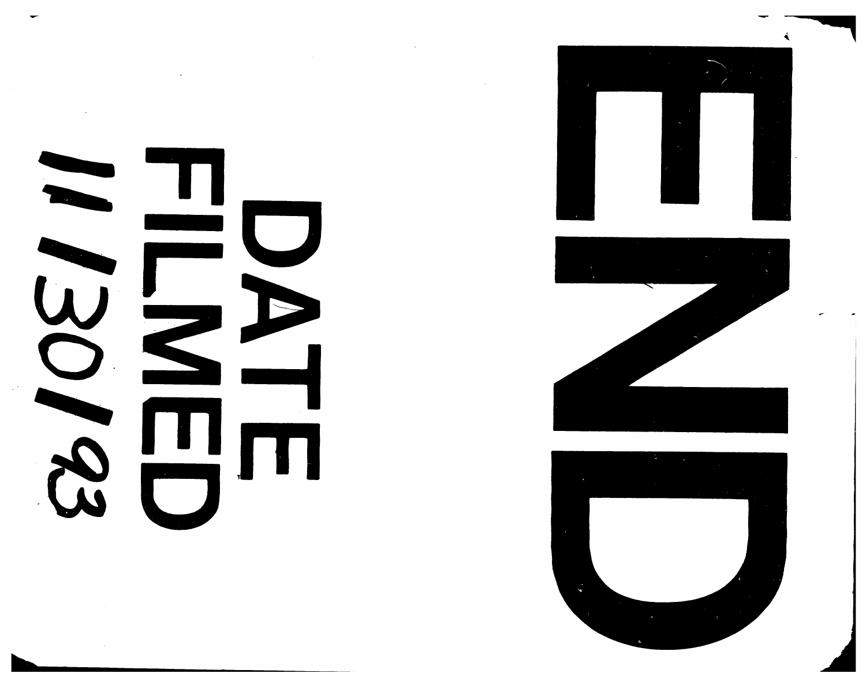